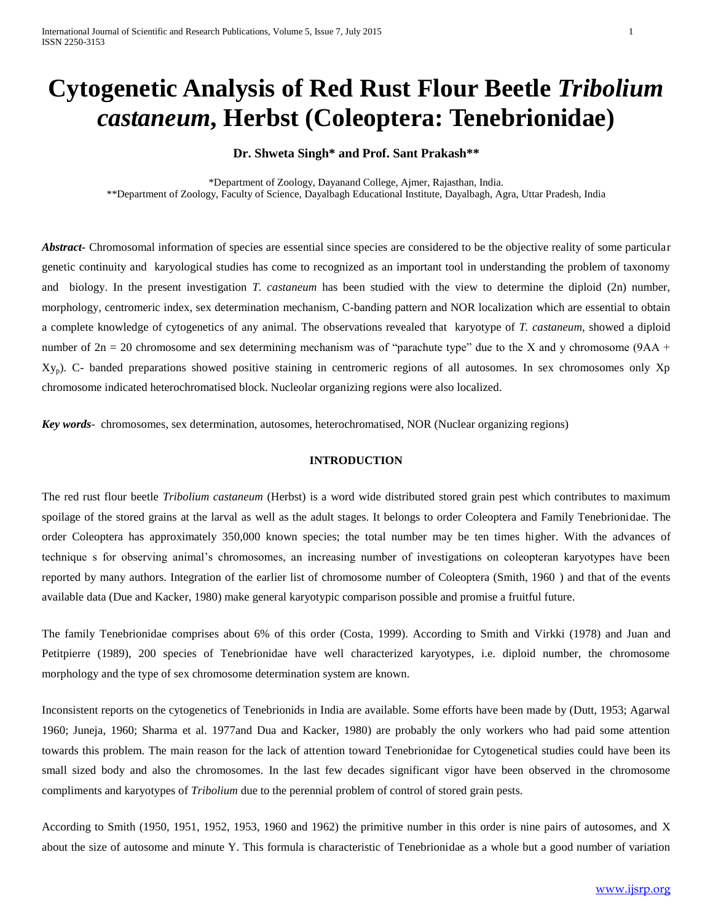# **Cytogenetic Analysis of Red Rust Flour Beetle** *Tribolium castaneum***, Herbst (Coleoptera: Tenebrionidae)**

## **Dr. Shweta Singh\* and Prof. Sant Prakash\*\***

\*Department of Zoology, Dayanand College, Ajmer, Rajasthan, India. \*\*Department of Zoology, Faculty of Science, Dayalbagh Educational Institute, Dayalbagh, Agra, Uttar Pradesh, India

*Abstract-* Chromosomal information of species are essential since species are considered to be the objective reality of some particular genetic continuity and karyological studies has come to recognized as an important tool in understanding the problem of taxonomy and biology. In the present investigation *T. castaneum* has been studied with the view to determine the diploid (2n) number, morphology, centromeric index, sex determination mechanism, C-banding pattern and NOR localization which are essential to obtain a complete knowledge of cytogenetics of any animal. The observations revealed that karyotype of *T. castaneum*, showed a diploid number of  $2n = 20$  chromosome and sex determining mechanism was of "parachute type" due to the X and y chromosome (9AA + Xyp). C- banded preparations showed positive staining in centromeric regions of all autosomes. In sex chromosomes only Xp chromosome indicated heterochromatised block. Nucleolar organizing regions were also localized.

*Key words*- chromosomes, sex determination, autosomes, heterochromatised, NOR (Nuclear organizing regions)

#### **INTRODUCTION**

The red rust flour beetle *Tribolium castaneum* (Herbst) is a word wide distributed stored grain pest which contributes to maximum spoilage of the stored grains at the larval as well as the adult stages. It belongs to order Coleoptera and Family Tenebrionidae. The order Coleoptera has approximately 350,000 known species; the total number may be ten times higher. With the advances of technique s for observing animal's chromosomes, an increasing number of investigations on coleopteran karyotypes have been reported by many authors. Integration of the earlier list of chromosome number of Coleoptera (Smith, 1960 ) and that of the events available data (Due and Kacker, 1980) make general karyotypic comparison possible and promise a fruitful future.

The family Tenebrionidae comprises about 6% of this order (Costa, 1999). According to Smith and Virkki (1978) and Juan and Petitpierre (1989), 200 species of Tenebrionidae have well characterized karyotypes, i.e. diploid number, the chromosome morphology and the type of sex chromosome determination system are known.

Inconsistent reports on the cytogenetics of Tenebrionids in India are available. Some efforts have been made by (Dutt, 1953; Agarwal 1960; Juneja, 1960; Sharma et al. 1977and Dua and Kacker, 1980) are probably the only workers who had paid some attention towards this problem. The main reason for the lack of attention toward Tenebrionidae for Cytogenetical studies could have been its small sized body and also the chromosomes. In the last few decades significant vigor have been observed in the chromosome compliments and karyotypes of *Tribolium* due to the perennial problem of control of stored grain pests.

According to Smith (1950, 1951, 1952, 1953, 1960 and 1962) the primitive number in this order is nine pairs of autosomes, and X about the size of autosome and minute Y. This formula is characteristic of Tenebrionidae as a whole but a good number of variation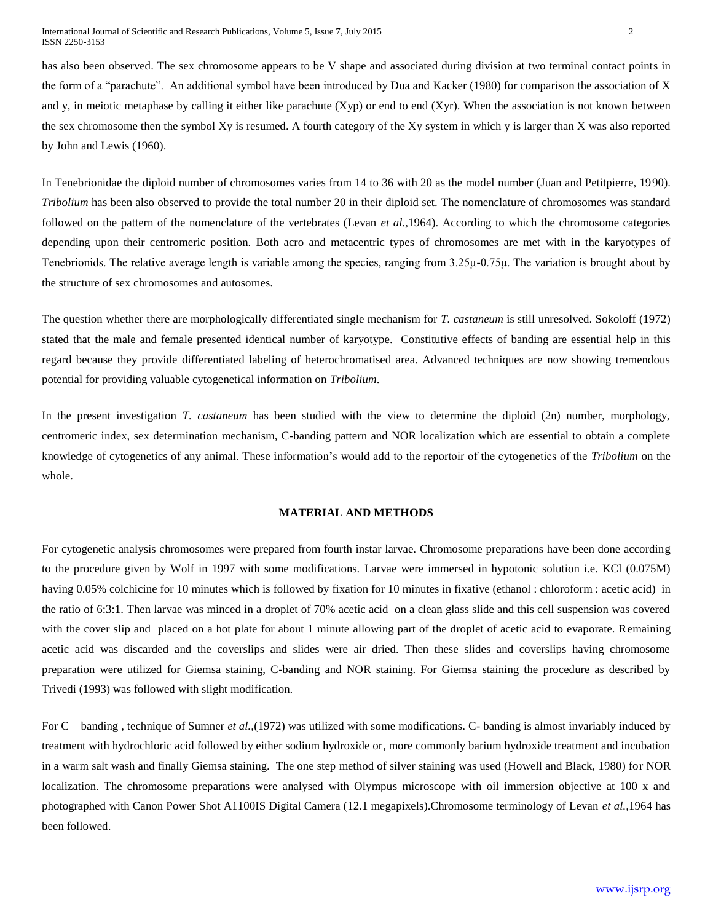has also been observed. The sex chromosome appears to be V shape and associated during division at two terminal contact points in the form of a "parachute". An additional symbol have been introduced by Dua and Kacker (1980) for comparison the association of X and y, in meiotic metaphase by calling it either like parachute (Xyp) or end to end (Xyr). When the association is not known between the sex chromosome then the symbol Xy is resumed. A fourth category of the Xy system in which y is larger than X was also reported by John and Lewis (1960).

In Tenebrionidae the diploid number of chromosomes varies from 14 to 36 with 20 as the model number (Juan and Petitpierre, 1990). *Tribolium* has been also observed to provide the total number 20 in their diploid set. The nomenclature of chromosomes was standard followed on the pattern of the nomenclature of the vertebrates (Levan *et al.*, 1964). According to which the chromosome categories depending upon their centromeric position. Both acro and metacentric types of chromosomes are met with in the karyotypes of Tenebrionids. The relative average length is variable among the species, ranging from 3.25μ-0.75μ. The variation is brought about by the structure of sex chromosomes and autosomes.

The question whether there are morphologically differentiated single mechanism for *T. castaneum* is still unresolved. Sokoloff (1972) stated that the male and female presented identical number of karyotype. Constitutive effects of banding are essential help in this regard because they provide differentiated labeling of heterochromatised area. Advanced techniques are now showing tremendous potential for providing valuable cytogenetical information on *Tribolium*.

In the present investigation *T. castaneum* has been studied with the view to determine the diploid (2n) number, morphology, centromeric index, sex determination mechanism, C-banding pattern and NOR localization which are essential to obtain a complete knowledge of cytogenetics of any animal. These information's would add to the reportoir of the cytogenetics of the *Tribolium* on the whole.

#### **MATERIAL AND METHODS**

For cytogenetic analysis chromosomes were prepared from fourth instar larvae. Chromosome preparations have been done according to the procedure given by Wolf in 1997 with some modifications. Larvae were immersed in hypotonic solution i.e. KCl (0.075M) having 0.05% colchicine for 10 minutes which is followed by fixation for 10 minutes in fixative (ethanol : chloroform : acetic acid) in the ratio of 6:3:1. Then larvae was minced in a droplet of 70% acetic acid on a clean glass slide and this cell suspension was covered with the cover slip and placed on a hot plate for about 1 minute allowing part of the droplet of acetic acid to evaporate. Remaining acetic acid was discarded and the coverslips and slides were air dried. Then these slides and coverslips having chromosome preparation were utilized for Giemsa staining, C-banding and NOR staining. For Giemsa staining the procedure as described by Trivedi (1993) was followed with slight modification.

For C – banding , technique of Sumner *et al.,*(1972) was utilized with some modifications. C- banding is almost invariably induced by treatment with hydrochloric acid followed by either sodium hydroxide or, more commonly barium hydroxide treatment and incubation in a warm salt wash and finally Giemsa staining. The one step method of silver staining was used (Howell and Black, 1980) for NOR localization. The chromosome preparations were analysed with Olympus microscope with oil immersion objective at 100 x and photographed with Canon Power Shot A1100IS Digital Camera (12.1 megapixels).Chromosome terminology of Levan *et al.,*1964 has been followed.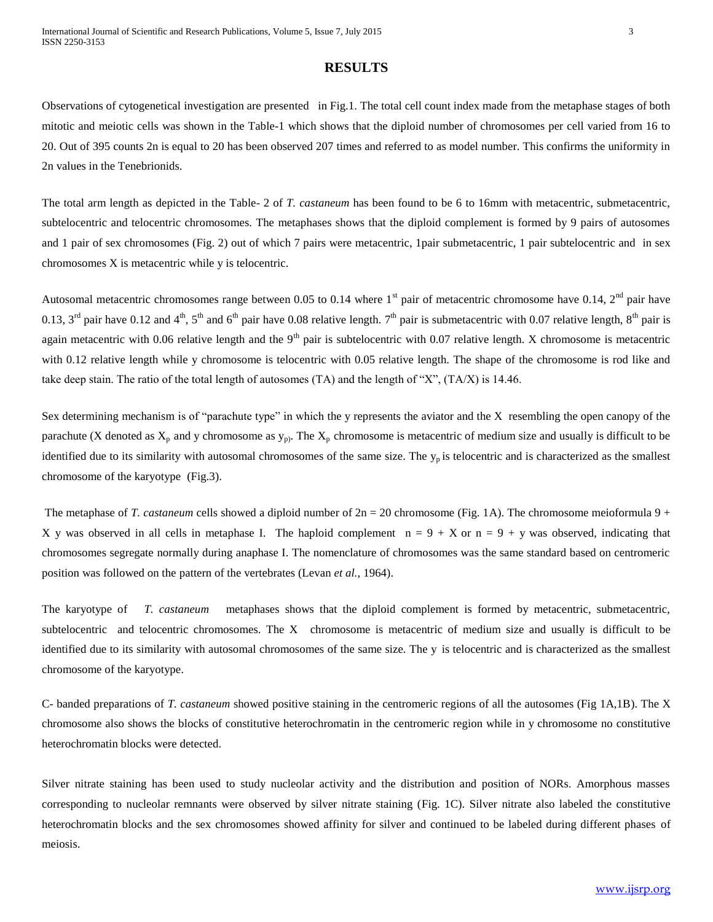## **RESULTS**

Observations of cytogenetical investigation are presented in Fig.1. The total cell count index made from the metaphase stages of both mitotic and meiotic cells was shown in the Table-1 which shows that the diploid number of chromosomes per cell varied from 16 to 20. Out of 395 counts 2n is equal to 20 has been observed 207 times and referred to as model number. This confirms the uniformity in 2n values in the Tenebrionids.

The total arm length as depicted in the Table- 2 of *T. castaneum* has been found to be 6 to 16mm with metacentric, submetacentric, subtelocentric and telocentric chromosomes. The metaphases shows that the diploid complement is formed by 9 pairs of autosomes and 1 pair of sex chromosomes (Fig. 2) out of which 7 pairs were metacentric, 1pair submetacentric, 1 pair subtelocentric and in sex chromosomes X is metacentric while y is telocentric.

Autosomal metacentric chromosomes range between 0.05 to 0.14 where  $1<sup>st</sup>$  pair of metacentric chromosome have 0.14,  $2<sup>nd</sup>$  pair have 0.13, 3<sup>rd</sup> pair have 0.12 and 4<sup>th</sup>, 5<sup>th</sup> and 6<sup>th</sup> pair have 0.08 relative length. 7<sup>th</sup> pair is submetacentric with 0.07 relative length, 8<sup>th</sup> pair is again metacentric with 0.06 relative length and the  $9<sup>th</sup>$  pair is subtelocentric with 0.07 relative length. X chromosome is metacentric with 0.12 relative length while y chromosome is telocentric with 0.05 relative length. The shape of the chromosome is rod like and take deep stain. The ratio of the total length of autosomes (TA) and the length of "X", (TA/X) is 14.46.

Sex determining mechanism is of "parachute type" in which the y represents the aviator and the X resembling the open canopy of the parachute (X denoted as  $X_p$  and y chromosome as  $y_p$ ). The  $X_p$  chromosome is metacentric of medium size and usually is difficult to be identified due to its similarity with autosomal chromosomes of the same size. The  $y_p$  is telocentric and is characterized as the smallest chromosome of the karyotype (Fig.3).

The metaphase of *T. castaneum* cells showed a diploid number of  $2n = 20$  chromosome (Fig. 1A). The chromosome meioformula 9 + X y was observed in all cells in metaphase I. The haploid complement  $n = 9 + X$  or  $n = 9 + Y$  was observed, indicating that chromosomes segregate normally during anaphase I. The nomenclature of chromosomes was the same standard based on centromeric position was followed on the pattern of the vertebrates (Levan *et al.,* 1964).

The karyotype of *T. castaneum* metaphases shows that the diploid complement is formed by metacentric, submetacentric, subtelocentric and telocentric chromosomes. The X chromosome is metacentric of medium size and usually is difficult to be identified due to its similarity with autosomal chromosomes of the same size. The y is telocentric and is characterized as the smallest chromosome of the karyotype.

C- banded preparations of *T. castaneum* showed positive staining in the centromeric regions of all the autosomes (Fig 1A,1B). The X chromosome also shows the blocks of constitutive heterochromatin in the centromeric region while in y chromosome no constitutive heterochromatin blocks were detected.

Silver nitrate staining has been used to study nucleolar activity and the distribution and position of NORs. Amorphous masses corresponding to nucleolar remnants were observed by silver nitrate staining (Fig. 1C). Silver nitrate also labeled the constitutive heterochromatin blocks and the sex chromosomes showed affinity for silver and continued to be labeled during different phases of meiosis.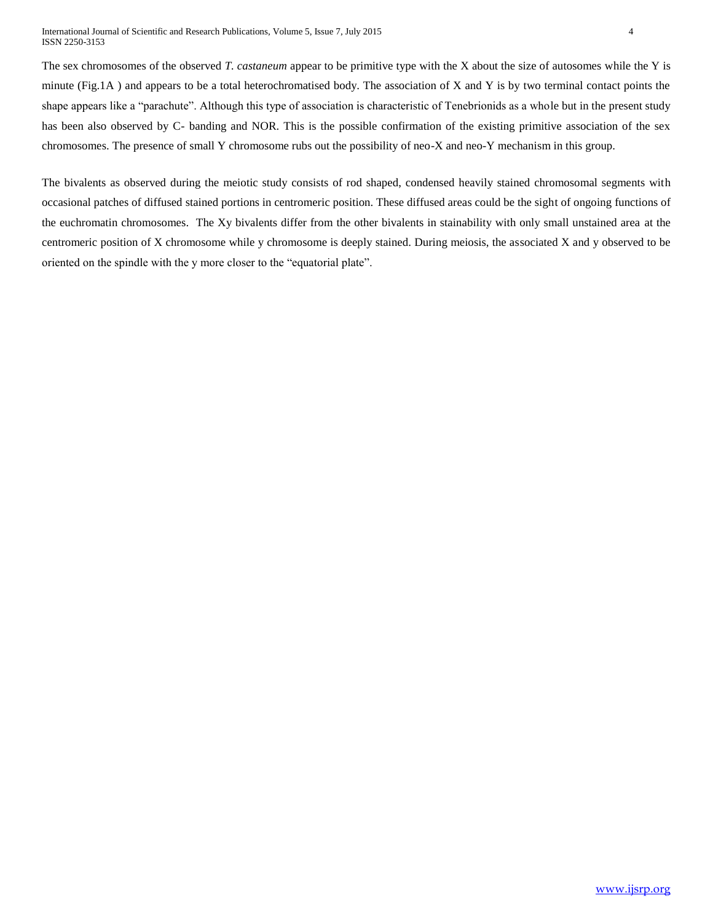The sex chromosomes of the observed *T. castaneum* appear to be primitive type with the X about the size of autosomes while the Y is minute (Fig.1A ) and appears to be a total heterochromatised body. The association of X and Y is by two terminal contact points the shape appears like a "parachute". Although this type of association is characteristic of Tenebrionids as a whole but in the present study has been also observed by C- banding and NOR. This is the possible confirmation of the existing primitive association of the sex chromosomes. The presence of small Y chromosome rubs out the possibility of neo-X and neo-Y mechanism in this group.

The bivalents as observed during the meiotic study consists of rod shaped, condensed heavily stained chromosomal segments with occasional patches of diffused stained portions in centromeric position. These diffused areas could be the sight of ongoing functions of the euchromatin chromosomes. The Xy bivalents differ from the other bivalents in stainability with only small unstained area at the centromeric position of X chromosome while y chromosome is deeply stained. During meiosis, the associated X and y observed to be oriented on the spindle with the y more closer to the "equatorial plate".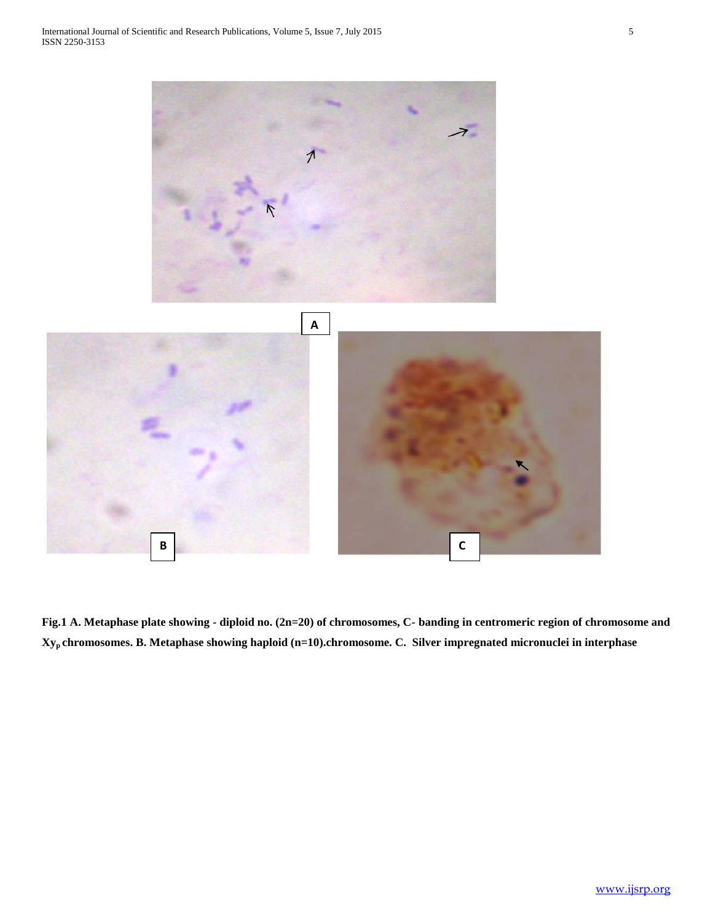

**Fig.1 A. Metaphase plate showing - diploid no. (2n=20) of chromosomes, C- banding in centromeric region of chromosome and Xyp chromosomes. B. Metaphase showing haploid (n=10).chromosome. C. Silver impregnated micronuclei in interphase**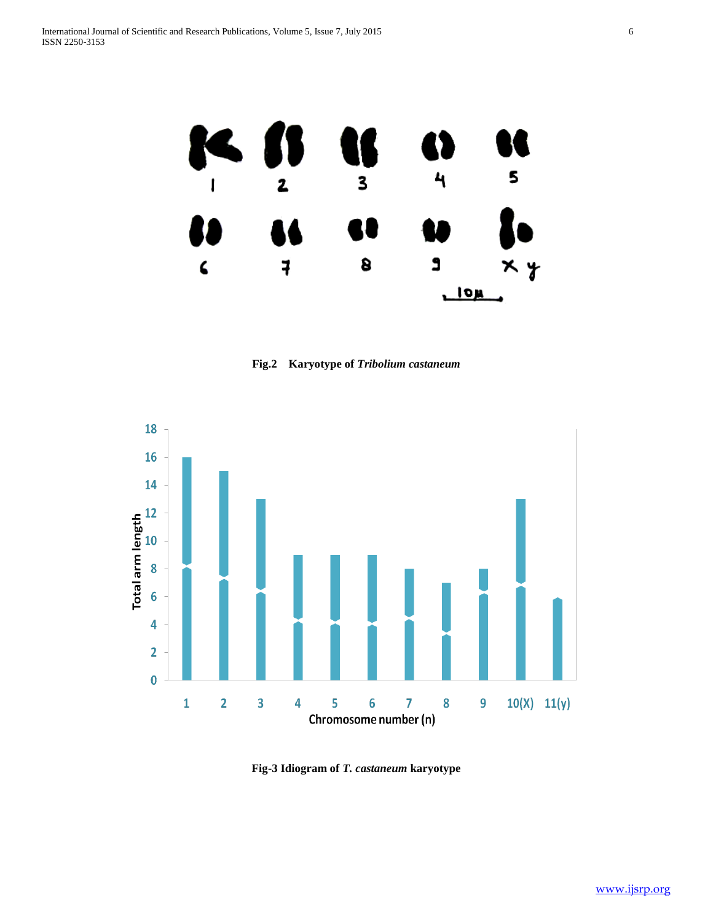

**Fig.2 Karyotype of** *Tribolium castaneum*



**Fig-3 Idiogram of** *T. castaneum* **karyotype**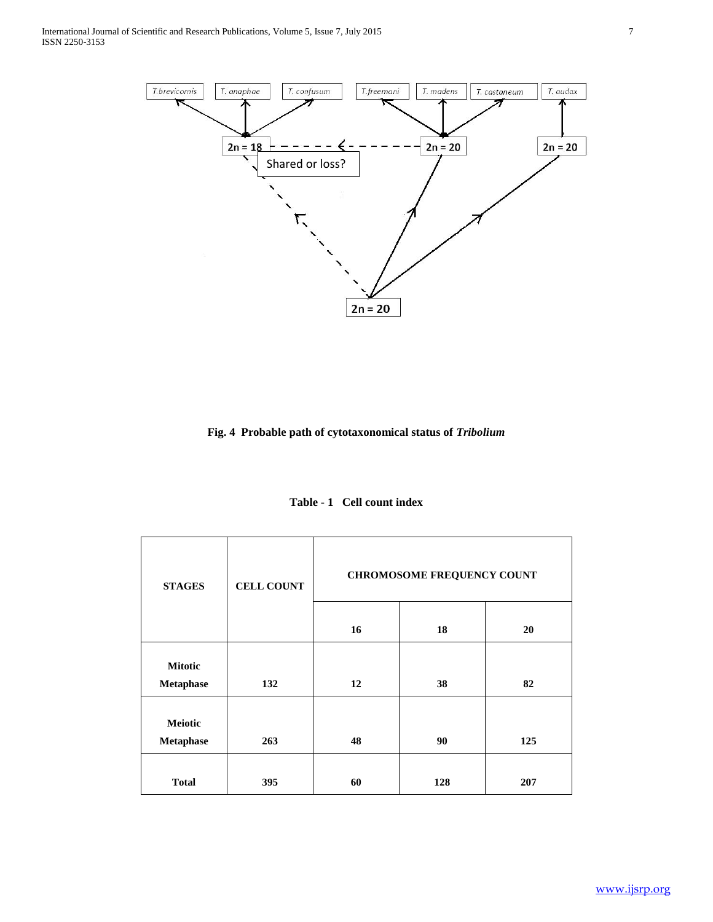

**Fig. 4 Probable path of cytotaxonomical status of** *Tribolium*

| Table - 1 Cell count index |  |  |  |
|----------------------------|--|--|--|
|----------------------------|--|--|--|

| <b>STAGES</b>               | <b>CELL COUNT</b> | <b>CHROMOSOME FREQUENCY COUNT</b> |     |     |  |
|-----------------------------|-------------------|-----------------------------------|-----|-----|--|
|                             |                   | 16                                | 18  | 20  |  |
| <b>Mitotic</b><br>Metaphase | 132               | 12                                | 38  | 82  |  |
| <b>Meiotic</b><br>Metaphase | 263               | 48                                | 90  | 125 |  |
| <b>Total</b>                | 395               | 60                                | 128 | 207 |  |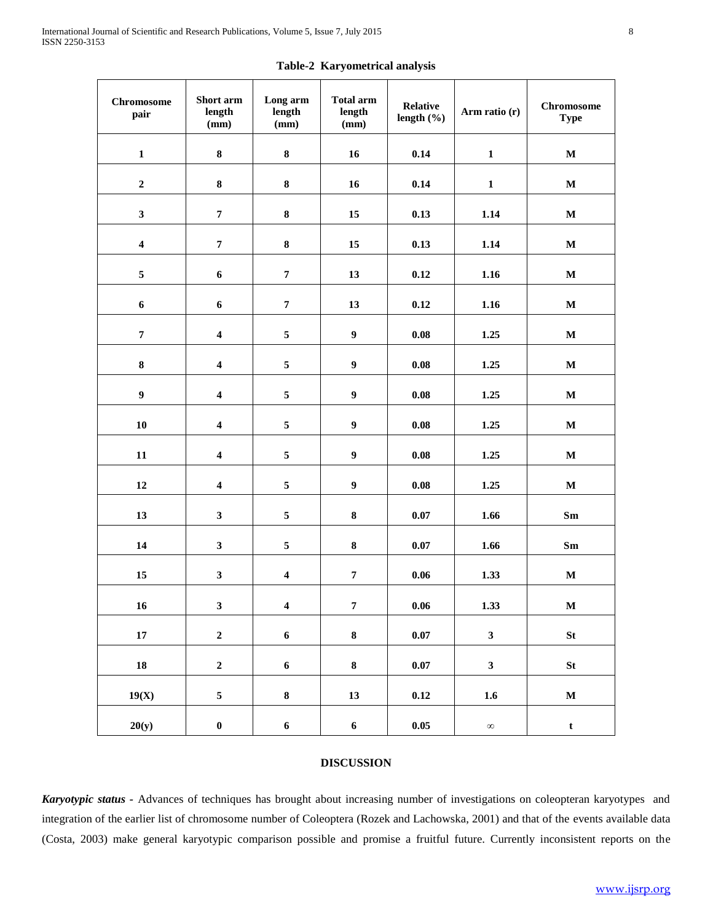| <b>Chromosome</b><br>pair | Short arm<br>length<br>(mm) | Long arm<br>length<br>(mm) | <b>Total arm</b><br>length<br>(mm) | <b>Relative</b><br>length $(\% )$ | Arm ratio (r)    | <b>Chromosome</b><br><b>Type</b> |
|---------------------------|-----------------------------|----------------------------|------------------------------------|-----------------------------------|------------------|----------------------------------|
| $\mathbf{1}$              | 8                           | ${\bf 8}$                  | 16                                 | 0.14                              | $\mathbf{1}$     | $\mathbf M$                      |
| $\boldsymbol{2}$          | 8                           | ${\bf 8}$                  | 16                                 | 0.14                              | $\mathbf{1}$     | $\mathbf M$                      |
| $\mathbf{3}$              | $\pmb{7}$                   | ${\bf 8}$                  | 15                                 | 0.13                              | 1.14             | $\mathbf M$                      |
| $\boldsymbol{4}$          | $\overline{7}$              | ${\bf 8}$                  | 15                                 | 0.13                              | 1.14             | $\mathbf M$                      |
| 5                         | $\boldsymbol{6}$            | $\pmb{7}$                  | 13                                 | 0.12                              | 1.16             | $\mathbf M$                      |
| $\boldsymbol{6}$          | $\boldsymbol{6}$            | $\pmb{7}$                  | 13                                 | 0.12                              | 1.16             | $\mathbf M$                      |
| $\pmb{7}$                 | $\overline{\mathbf{4}}$     | $\sqrt{5}$                 | $\boldsymbol{9}$                   | $\mathbf{0.08}$                   | 1.25             | $\mathbf M$                      |
| 8                         | $\overline{\mathbf{4}}$     | 5                          | $\boldsymbol{9}$                   | $\mathbf{0.08}$                   | 1.25             | $\mathbf M$                      |
| $\boldsymbol{9}$          | $\overline{\mathbf{4}}$     | 5                          | $\boldsymbol{9}$                   | $\mathbf{0.08}$                   | 1.25             | $\mathbf M$                      |
| ${\bf 10}$                | $\overline{\mathbf{4}}$     | 5                          | $\boldsymbol{9}$                   | $\mathbf{0.08}$                   | 1.25             | $\mathbf M$                      |
| 11                        | $\boldsymbol{4}$            | 5                          | $\boldsymbol{9}$                   | $\mathbf{0.08}$                   | 1.25             | $\mathbf M$                      |
| $12\,$                    | $\overline{\mathbf{4}}$     | 5                          | $\boldsymbol{9}$                   | $\mathbf{0.08}$                   | 1.25             | $\mathbf M$                      |
| 13                        | $\mathbf{3}$                | 5                          | ${\bf 8}$                          | 0.07                              | 1.66             | $\mathbf{Sm}$                    |
| 14                        | $\mathbf{3}$                | 5                          | $\bf 8$                            | $0.07\,$                          | 1.66             | $\mathbf{Sm}$                    |
| 15                        | $\overline{\mathbf{3}}$     | $\boldsymbol{4}$           | $\pmb{7}$                          | 0.06                              | 1.33             | $\mathbf M$                      |
| $16\,$                    | $\mathbf{3}$                | $\overline{\mathbf{4}}$    | $\pmb{7}$                          | $\bf{0.06}$                       | 1.33             | $\mathbf M$                      |
| $17\,$                    | $\mathbf{2}$                | $\boldsymbol{6}$           | $\bf{8}$                           | $0.07\,$                          | $\mathbf{3}$     | <b>St</b>                        |
| 18                        | $\mathbf{2}$                | $\boldsymbol{6}$           | $\bf 8$                            | $0.07\,$                          | $\mathbf{3}$     | St                               |
| 19(X)                     | $\overline{\mathbf{5}}$     | $\bf 8$                    | 13                                 | 0.12                              | $1.6\phantom{0}$ | $\mathbf M$                      |
| 20(y)                     | $\pmb{0}$                   | $\boldsymbol{6}$           | $\boldsymbol{6}$                   | $0.05\,$                          | $\infty$         | $\mathbf t$                      |

**Table-2 Karyometrical analysis**

# **DISCUSSION**

*Karyotypic status -* Advances of techniques has brought about increasing number of investigations on coleopteran karyotypes and integration of the earlier list of chromosome number of Coleoptera (Rozek and Lachowska, 2001) and that of the events available data (Costa, 2003) make general karyotypic comparison possible and promise a fruitful future. Currently inconsistent reports on the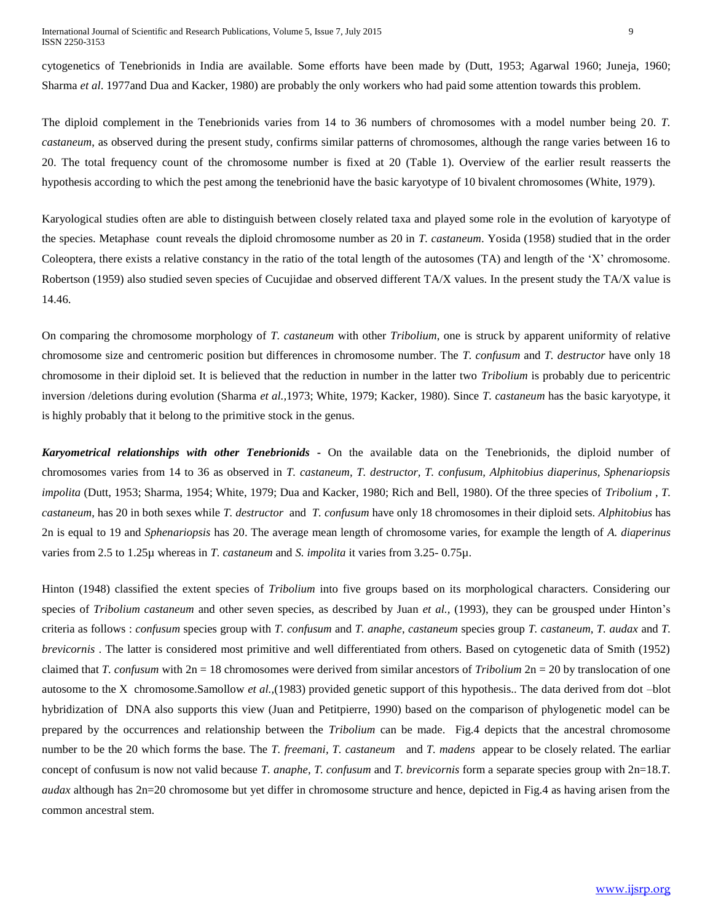cytogenetics of Tenebrionids in India are available. Some efforts have been made by (Dutt, 1953; Agarwal 1960; Juneja, 1960; Sharma *et al*. 1977and Dua and Kacker, 1980) are probably the only workers who had paid some attention towards this problem.

The diploid complement in the Tenebrionids varies from 14 to 36 numbers of chromosomes with a model number being 20. *T. castaneum*, as observed during the present study, confirms similar patterns of chromosomes, although the range varies between 16 to 20. The total frequency count of the chromosome number is fixed at 20 (Table 1). Overview of the earlier result reasserts the hypothesis according to which the pest among the tenebrionid have the basic karyotype of 10 bivalent chromosomes (White, 1979).

Karyological studies often are able to distinguish between closely related taxa and played some role in the evolution of karyotype of the species. Metaphase count reveals the diploid chromosome number as 20 in *T. castaneum*. Yosida (1958) studied that in the order Coleoptera, there exists a relative constancy in the ratio of the total length of the autosomes (TA) and length of the 'X' chromosome. Robertson (1959) also studied seven species of Cucujidae and observed different TA/X values. In the present study the TA/X value is 14.46.

On comparing the chromosome morphology of *T. castaneum* with other *Tribolium*, one is struck by apparent uniformity of relative chromosome size and centromeric position but differences in chromosome number. The *T. confusum* and *T. destructor* have only 18 chromosome in their diploid set. It is believed that the reduction in number in the latter two *Tribolium* is probably due to pericentric inversion /deletions during evolution (Sharma *et al.,*1973; White, 1979; Kacker, 1980). Since *T. castaneum* has the basic karyotype, it is highly probably that it belong to the primitive stock in the genus.

*Karyometrical relationships with other Tenebrionids* **-** On the available data on the Tenebrionids, the diploid number of chromosomes varies from 14 to 36 as observed in *T. castaneum, T. destructor, T. confusum, Alphitobius diaperinus, Sphenariopsis impolita* (Dutt, 1953; Sharma, 1954; White, 1979; Dua and Kacker, 1980; Rich and Bell, 1980). Of the three species of *Tribolium* , *T. castaneum*, has 20 in both sexes while *T. destructor* and *T. confusum* have only 18 chromosomes in their diploid sets. *Alphitobius* has 2n is equal to 19 and *Sphenariopsis* has 20. The average mean length of chromosome varies, for example the length of *A. diaperinus* varies from 2.5 to 1.25µ whereas in *T. castaneum* and *S. impolita* it varies from 3.25- 0.75µ.

Hinton (1948) classified the extent species of *Tribolium* into five groups based on its morphological characters. Considering our species of *Tribolium castaneum* and other seven species, as described by Juan *et al.,* (1993), they can be grousped under Hinton's criteria as follows : *confusum* species group with *T. confusum* and *T. anaphe*, *castaneum* species group *T. castaneum, T. audax* and *T. brevicornis* . The latter is considered most primitive and well differentiated from others. Based on cytogenetic data of Smith (1952) claimed that *T. confusum* with 2n = 18 chromosomes were derived from similar ancestors of *Tribolium* 2n = 20 by translocation of one autosome to the X chromosome.Samollow *et al.,*(1983) provided genetic support of this hypothesis.. The data derived from dot –blot hybridization of DNA also supports this view (Juan and Petitpierre, 1990) based on the comparison of phylogenetic model can be prepared by the occurrences and relationship between the *Tribolium* can be made. Fig.4 depicts that the ancestral chromosome number to be the 20 which forms the base. The *T. freemani, T. castaneum* and *T. madens* appear to be closely related. The earliar concept of confusum is now not valid because *T. anaphe*, *T. confusum* and *T. brevicornis* form a separate species group with 2n=18.*T. audax* although has 2n=20 chromosome but yet differ in chromosome structure and hence, depicted in Fig.4 as having arisen from the common ancestral stem.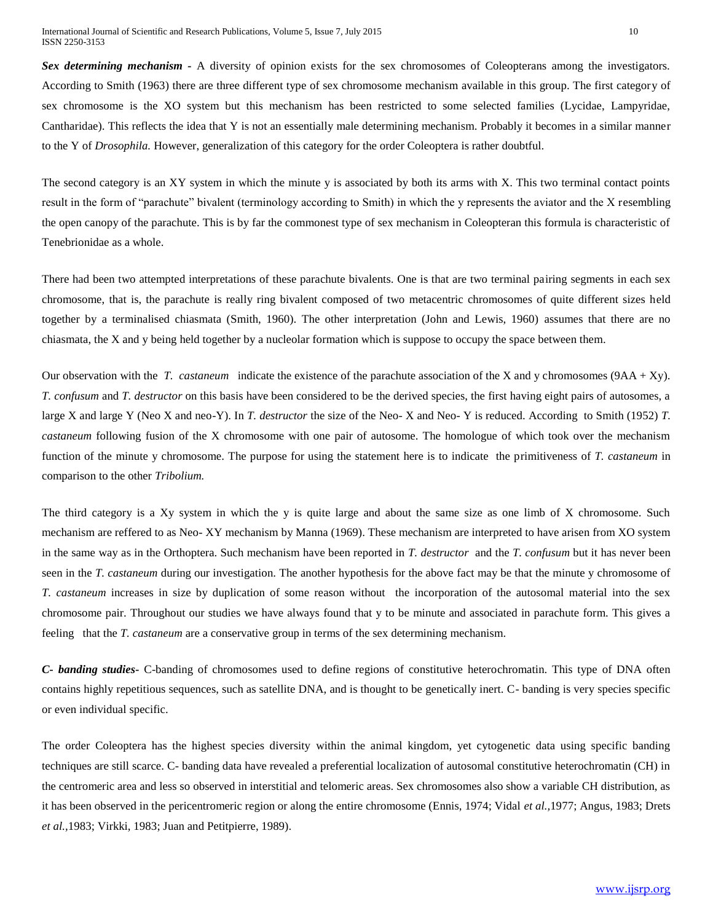*Sex determining mechanism -* A diversity of opinion exists for the sex chromosomes of Coleopterans among the investigators. According to Smith (1963) there are three different type of sex chromosome mechanism available in this group. The first category of sex chromosome is the XO system but this mechanism has been restricted to some selected families (Lycidae, Lampyridae, Cantharidae). This reflects the idea that Y is not an essentially male determining mechanism. Probably it becomes in a similar manner to the Y of *Drosophila.* However, generalization of this category for the order Coleoptera is rather doubtful.

The second category is an XY system in which the minute y is associated by both its arms with X. This two terminal contact points result in the form of "parachute" bivalent (terminology according to Smith) in which the y represents the aviator and the X resembling the open canopy of the parachute. This is by far the commonest type of sex mechanism in Coleopteran this formula is characteristic of Tenebrionidae as a whole.

There had been two attempted interpretations of these parachute bivalents. One is that are two terminal pairing segments in each sex chromosome, that is, the parachute is really ring bivalent composed of two metacentric chromosomes of quite different sizes held together by a terminalised chiasmata (Smith, 1960). The other interpretation (John and Lewis, 1960) assumes that there are no chiasmata, the X and y being held together by a nucleolar formation which is suppose to occupy the space between them.

Our observation with the *T. castaneum* indicate the existence of the parachute association of the X and y chromosomes (9AA + Xy). *T. confusum* and *T. destructor* on this basis have been considered to be the derived species, the first having eight pairs of autosomes, a large X and large Y (Neo X and neo-Y). In *T. destructor* the size of the Neo- X and Neo- Y is reduced. According to Smith (1952) *T. castaneum* following fusion of the X chromosome with one pair of autosome. The homologue of which took over the mechanism function of the minute y chromosome. The purpose for using the statement here is to indicate the primitiveness of *T. castaneum* in comparison to the other *Tribolium.*

The third category is a Xy system in which the y is quite large and about the same size as one limb of X chromosome. Such mechanism are reffered to as Neo- XY mechanism by Manna (1969). These mechanism are interpreted to have arisen from XO system in the same way as in the Orthoptera. Such mechanism have been reported in *T. destructor* and the *T. confusum* but it has never been seen in the *T. castaneum* during our investigation. The another hypothesis for the above fact may be that the minute y chromosome of *T. castaneum* increases in size by duplication of some reason without the incorporation of the autosomal material into the sex chromosome pair. Throughout our studies we have always found that y to be minute and associated in parachute form. This gives a feeling that the *T. castaneum* are a conservative group in terms of the sex determining mechanism.

*C- banding studies-* C-banding of chromosomes used to define regions of constitutive heterochromatin. This type of DNA often contains highly repetitious sequences, such as satellite DNA, and is thought to be genetically inert. C- banding is very species specific or even individual specific.

The order Coleoptera has the highest species diversity within the animal kingdom, yet cytogenetic data using specific banding techniques are still scarce. C- banding data have revealed a preferential localization of autosomal constitutive heterochromatin (CH) in the centromeric area and less so observed in interstitial and telomeric areas. Sex chromosomes also show a variable CH distribution, as it has been observed in the pericentromeric region or along the entire chromosome (Ennis, 1974; Vidal *et al.,*1977; Angus, 1983; Drets *et al.,*1983; Virkki, 1983; Juan and Petitpierre, 1989).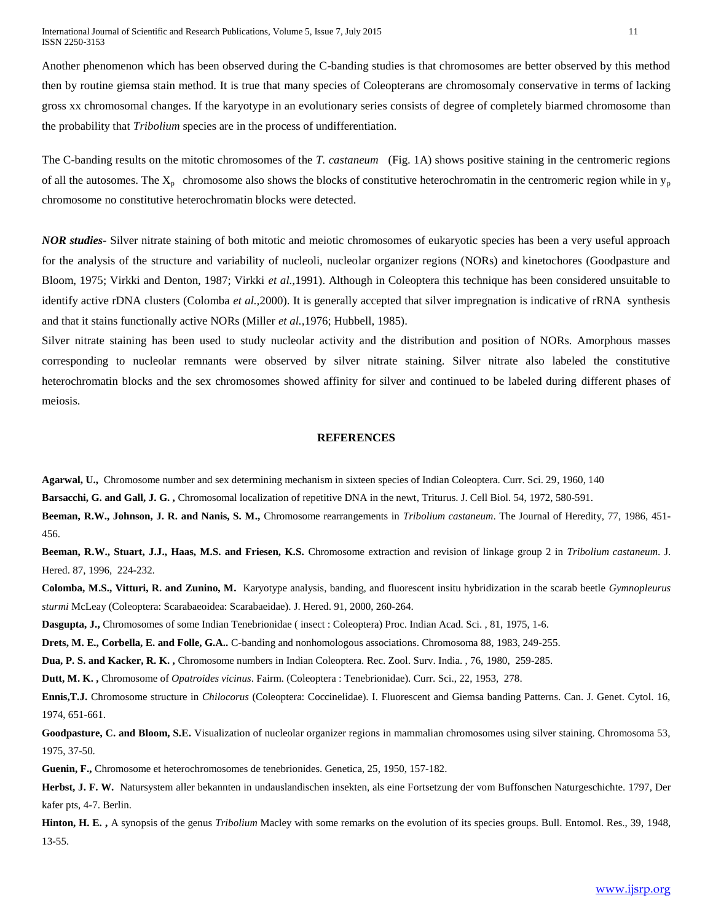Another phenomenon which has been observed during the C-banding studies is that chromosomes are better observed by this method then by routine giemsa stain method. It is true that many species of Coleopterans are chromosomaly conservative in terms of lacking gross xx chromosomal changes. If the karyotype in an evolutionary series consists of degree of completely biarmed chromosome than the probability that *Tribolium* species are in the process of undifferentiation.

The C-banding results on the mitotic chromosomes of the *T. castaneum* (Fig. 1A) shows positive staining in the centromeric regions of all the autosomes. The  $X_p$  chromosome also shows the blocks of constitutive heterochromatin in the centromeric region while in  $y_p$ chromosome no constitutive heterochromatin blocks were detected.

*NOR studies-* Silver nitrate staining of both mitotic and meiotic chromosomes of eukaryotic species has been a very useful approach for the analysis of the structure and variability of nucleoli, nucleolar organizer regions (NORs) and kinetochores (Goodpasture and Bloom, 1975; Virkki and Denton, 1987; Virkki *et al.,*1991). Although in Coleoptera this technique has been considered unsuitable to identify active rDNA clusters (Colomba *et al.,*2000). It is generally accepted that silver impregnation is indicative of rRNA synthesis and that it stains functionally active NORs (Miller *et al.,*1976; Hubbell, 1985).

Silver nitrate staining has been used to study nucleolar activity and the distribution and position of NORs. Amorphous masses corresponding to nucleolar remnants were observed by silver nitrate staining. Silver nitrate also labeled the constitutive heterochromatin blocks and the sex chromosomes showed affinity for silver and continued to be labeled during different phases of meiosis.

#### **REFERENCES**

**Agarwal, U.,** Chromosome number and sex determining mechanism in sixteen species of Indian Coleoptera. Curr. Sci. 29, 1960, 140

**Barsacchi, G. and Gall, J. G. ,** Chromosomal localization of repetitive DNA in the newt, Triturus. J. Cell Biol. 54, 1972, 580-591.

**Beeman, R.W., Johnson, J. R. and Nanis, S. M.,** Chromosome rearrangements in *Tribolium castaneum*. The Journal of Heredity, 77, 1986, 451- 456.

**Beeman, R.W., Stuart, J.J., Haas, M.S. and Friesen, K.S.** Chromosome extraction and revision of linkage group 2 in *Tribolium castaneum*. J. Hered. 87, 1996, 224-232.

**Colomba, M.S., Vitturi, R. and Zunino, M.** Karyotype analysis, banding, and fluorescent insitu hybridization in the scarab beetle *Gymnopleurus sturmi* McLeay (Coleoptera: Scarabaeoidea: Scarabaeidae). J. Hered. 91, 2000, 260-264.

**Dasgupta, J.,** Chromosomes of some Indian Tenebrionidae ( insect : Coleoptera) Proc. Indian Acad. Sci. , 81, 1975, 1-6.

**Drets, M. E., Corbella, E. and Folle, G.A..** C-banding and nonhomologous associations. Chromosoma 88, 1983, 249-255.

**Dua, P. S. and Kacker, R. K. ,** Chromosome numbers in Indian Coleoptera. Rec. Zool. Surv. India. , 76, 1980, 259-285.

**Dutt, M. K. ,** Chromosome of *Opatroides vicinus*. Fairm. (Coleoptera : Tenebrionidae). Curr. Sci., 22, 1953, 278.

**Ennis,T.J.** Chromosome structure in *Chilocorus* (Coleoptera: Coccinelidae). I. Fluorescent and Giemsa banding Patterns. Can. J. Genet. Cytol. 16, 1974, 651-661.

**Goodpasture, C. and Bloom, S.E.** Visualization of nucleolar organizer regions in mammalian chromosomes using silver staining. Chromosoma 53, 1975, 37-50.

**Guenin, F.,** Chromosome et heterochromosomes de tenebrionides. Genetica, 25, 1950, 157-182.

**Herbst, J. F. W.** Natursystem aller bekannten in undauslandischen insekten, als eine Fortsetzung der vom Buffonschen Naturgeschichte. 1797, Der kafer pts, 4-7. Berlin.

**Hinton, H. E. ,** A synopsis of the genus *Tribolium* Macley with some remarks on the evolution of its species groups. Bull. Entomol. Res., 39, 1948, 13-55.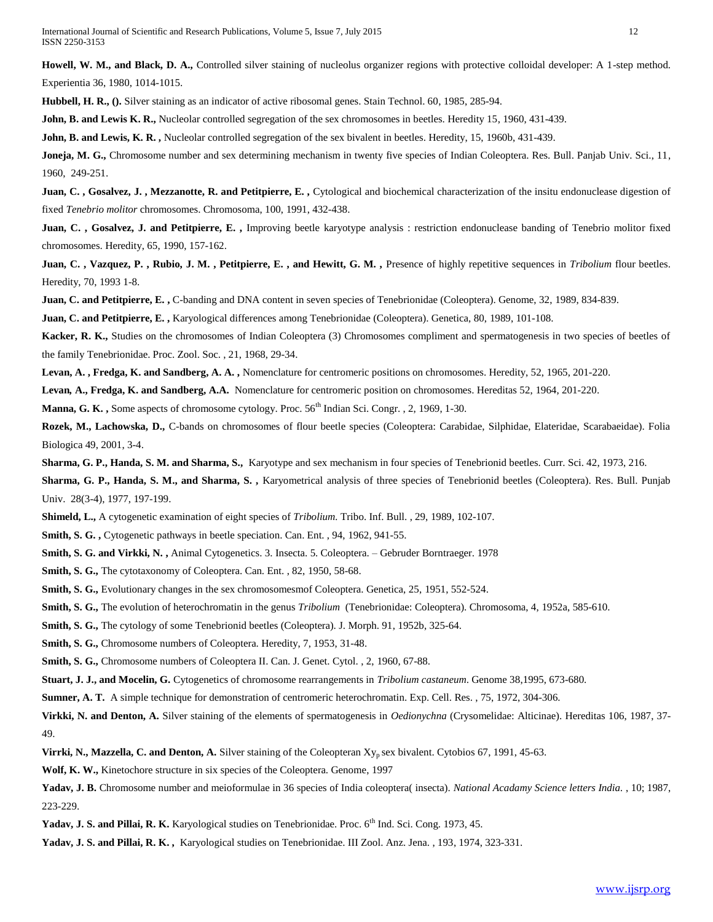**Howell, W. M., and Black, D. A.,** Controlled silver staining of nucleolus organizer regions with protective colloidal developer: A 1-step method. Experientia 36, 1980, 1014-1015.

**Hubbell, H. R., ().** Silver staining as an indicator of active ribosomal genes. Stain Technol. 60, 1985, 285-94.

**John, B. and Lewis K. R.,** Nucleolar controlled segregation of the sex chromosomes in beetles. Heredity 15, 1960, 431-439.

**John, B. and Lewis, K. R. ,** Nucleolar controlled segregation of the sex bivalent in beetles. Heredity, 15, 1960b, 431-439.

**Joneja, M. G.,** Chromosome number and sex determining mechanism in twenty five species of Indian Coleoptera. Res. Bull. Panjab Univ. Sci., 11, 1960, 249-251.

Juan, C., Gosalvez, J., Mezzanotte, R. and Petitpierre, E., Cytological and biochemical characterization of the insitu endonuclease digestion of fixed *Tenebrio molitor* chromosomes. Chromosoma, 100, 1991, 432-438.

Juan, C., Gosalvez, J. and Petitpierre, E., Improving beetle karyotype analysis : restriction endonuclease banding of Tenebrio molitor fixed chromosomes. Heredity, 65, 1990, 157-162.

Juan, C., Vazquez, P., Rubio, J. M., Petitpierre, E., and Hewitt, G. M., Presence of highly repetitive sequences in *Tribolium* flour beetles. Heredity, 70, 1993 1-8.

**Juan, C. and Petitpierre, E. ,** C-banding and DNA content in seven species of Tenebrionidae (Coleoptera). Genome, 32, 1989, 834-839.

**Juan, C. and Petitpierre, E. ,** Karyological differences among Tenebrionidae (Coleoptera). Genetica, 80, 1989, 101-108.

**Kacker, R. K.,** Studies on the chromosomes of Indian Coleoptera (3) Chromosomes compliment and spermatogenesis in two species of beetles of the family Tenebrionidae. Proc. Zool. Soc. , 21, 1968, 29-34.

**Levan, A. , Fredga, K. and Sandberg, A. A. ,** Nomenclature for centromeric positions on chromosomes. Heredity, 52, 1965, 201-220.

**Levan***,* **A., Fredga, K. and Sandberg, A.A.** Nomenclature for centromeric position on chromosomes. Hereditas 52, 1964, 201-220.

**Manna, G. K., Some aspects of chromosome cytology. Proc. 56<sup>th</sup> Indian Sci. Congr., 2, 1969, 1-30.** 

**Rozek, M., Lachowska, D.,** C-bands on chromosomes of flour beetle species (Coleoptera: Carabidae, Silphidae, Elateridae, Scarabaeidae). Folia Biologica 49, 2001, 3-4.

**Sharma, G. P., Handa, S. M. and Sharma, S.,** Karyotype and sex mechanism in four species of Tenebrionid beetles. Curr. Sci. 42, 1973, 216.

**Sharma, G. P., Handa, S. M., and Sharma, S. ,** Karyometrical analysis of three species of Tenebrionid beetles (Coleoptera). Res. Bull. Punjab Univ. 28(3-4), 1977, 197-199.

**Shimeld, L.,** A cytogenetic examination of eight species of *Tribolium.* Tribo. Inf. Bull. , 29, 1989, 102-107.

**Smith, S. G. ,** Cytogenetic pathways in beetle speciation. Can. Ent. , 94, 1962, 941-55.

**Smith, S. G. and Virkki, N. ,** Animal Cytogenetics. 3. Insecta. 5. Coleoptera. – Gebruder Borntraeger. 1978

**Smith, S. G.,** The cytotaxonomy of Coleoptera. Can. Ent. , 82, 1950, 58-68.

**Smith, S. G.,** Evolutionary changes in the sex chromosomesmof Coleoptera. Genetica, 25, 1951, 552-524.

**Smith, S. G.,** The evolution of heterochromatin in the genus *Tribolium* (Tenebrionidae: Coleoptera). Chromosoma, 4, 1952a, 585-610.

**Smith, S. G.,** The cytology of some Tenebrionid beetles (Coleoptera). J. Morph. 91, 1952b, 325-64.

**Smith, S. G.,** Chromosome numbers of Coleoptera. Heredity, 7, 1953, 31-48.

**Smith, S. G.,** Chromosome numbers of Coleoptera II. Can. J. Genet. Cytol. , 2, 1960, 67-88.

**Stuart, J. J., and Mocelin, G.** Cytogenetics of chromosome rearrangements in *Tribolium castaneum*. Genome 38,1995, 673-680.

**Sumner, A. T.** A simple technique for demonstration of centromeric heterochromatin. Exp. Cell. Res. , 75, 1972, 304-306.

**Virkki, N. and Denton, A.** Silver staining of the elements of spermatogenesis in *Oedionychna* (Crysomelidae: Alticinae). Hereditas 106, 1987, 37- 49.

**Virrki, N., Mazzella, C. and Denton, A.** Silver staining of the Coleopteran Xy<sub>p</sub> sex bivalent. Cytobios 67, 1991, 45-63.

**Wolf, K. W.,** Kinetochore structure in six species of the Coleoptera. Genome, 1997

**Yadav, J. B.** Chromosome number and meioformulae in 36 species of India coleoptera( insecta). *National Acadamy Science letters India.* , 10; 1987, 223-229.

Yadav, J. S. and Pillai, R. K. Karyological studies on Tenebrionidae. Proc. 6<sup>th</sup> Ind. Sci. Cong. 1973, 45.

**Yadav, J. S. and Pillai, R. K. ,** Karyological studies on Tenebrionidae. III Zool. Anz. Jena. , 193, 1974, 323-331.